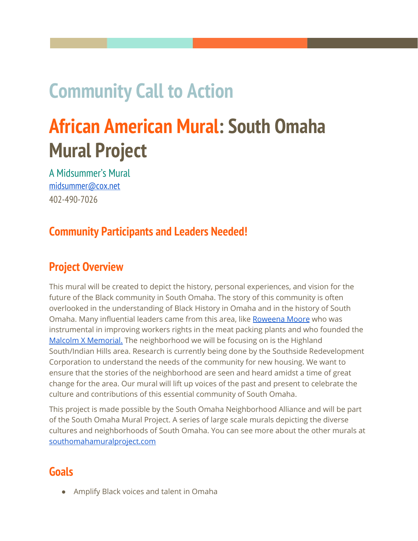# **Community Call to Action**

# **African American Mural: South Omaha Mural Project**

A Midsummer's Mural [midsummer@cox.net](mailto:midsummer@cox.net) 402-490-7026

## **Community Participants and Leaders Needed!**

## **Project Overview**

This mural will be created to depict the history, personal experiences, and vision for the future of the Black community in South Omaha. The story of this community is often overlooked in the understanding of Black History in Omaha and in the history of South Omaha. Many influential leaders came from this area, like [Roweena](https://en.wikipedia.org/wiki/Rowena_Moore) Moore who was instrumental in improving workers rights in the meat packing plants and who founded the Malcolm X [Memorial.](https://en.wikipedia.org/wiki/Malcolm_X_House_Site) The neighborhood we will be focusing on is the Highland South/Indian Hills area. Research is currently being done by the Southside Redevelopment Corporation to understand the needs of the community for new housing. We want to ensure that the stories of the neighborhood are seen and heard amidst a time of great change for the area. Our mural will lift up voices of the past and present to celebrate the culture and contributions of this essential community of South Omaha.

This project is made possible by the South Omaha Neighborhood Alliance and will be part of the South Omaha Mural Project. A series of large scale murals depicting the diverse cultures and neighborhoods of South Omaha. You can see more about the other murals at [southomahamuralproject.com](http://southomahamuralproject.com/)

## **Goals**

● Amplify Black voices and talent in Omaha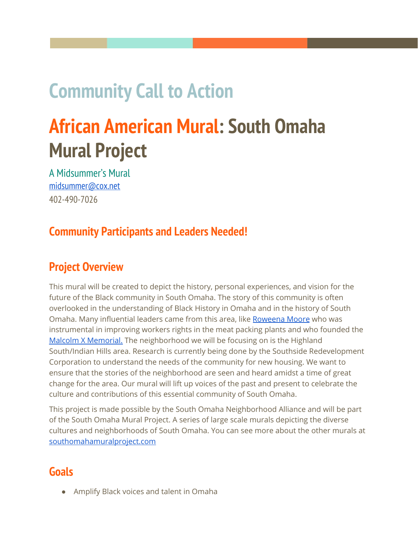- Create a public space for this story to be seen and represented
- Create a beautiful and deeply meaningful work of art
- Have public discourse about the history and experiences of the community
- Imagine what the future of the neighborhood looks like, with redevelopment on the horizon
- Be invitational to what is needed and wanted by the community
- Use experimental mural creation techniques
- Maintain safe Covid-19 practices

## **Committed Artists**

#### Barber <http://barberpaintspeople.com/>

Lead Designer- in charge of the direction of the visual design and overall content and message of the final mural.

South Omaha Mural Project Team <https://www.amidsummersmural.com/who-we-are/>

Rebecca Harrison, Richard Harrison, Hugo Zamorano, and Jair Rodriguez- present to provide technical support, strategic planning, and facilitation of many aspects of the project

## **Artists Needed:**

- 5 Contributing Artists- brought in to provide multidisciplinary modes of expression to the workshops and contribute to the content and direction of the final mural.
- 5 Apprentice Artists- Paid to learn and assist with the design, installation, and completion of the mural

Call for Artists Information can be found at [southomahamuralproject.com](http://southomahamuralproject.com/)

Please share with any artists you think would be interested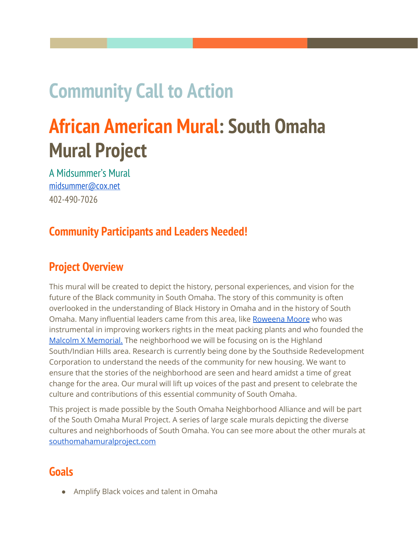### **Community Participants and Leaders Needed!**

To accomplish this model we will need to have strong community partners. There will need to be a host from each block to help spread the news of each event and invite their neighbors personally to attend. It will be essential for the success of the project if there advocates from the neighborhood are personally invested in the project. Hosts will be asked to have a short informational session with the artists before the workshop to get all the details on how the event will unfold. Please read the details of the process below to get a better understanding of what the workshops will be like.

**If you live in the Highland South/Indian Hills Neighborhoods and are interested in hosting a design workshop on your block or at your church please contact Rebecca Harrison at 402-871-1017 or email rebecca.midsummer@gmail.com**

### **Details of the Process**

Phase 1 Summer/Fall 2020: Conducting the design and painting workshops

Phase 2

Spring/Summer 2021: Design and Installation of the final mural

Due to some restrictions and setbacks, we have reimagined our previous mural making models. Instead of meeting indoors at public gathering places in large numbers, we will be doing targeted small outdoor workshops. We will be able to accomplish this by using our TELAporter, a van equipped with mural workspaces that can be set up quickly in a parking lot or driveway. We will paint on Polytab, a versatile mural fabric, that can be painted offsite and then installed onto a wall at a later date. This will be helpful in that we still have a few walls to choose from for the ideal placement of the mural. These workshops will be led by the lead designer and contributing artists. The lead designer will be in charge of providing context for the scope of the larger mural project, leading discussions, providing hands on guidance, and digesting the dialogue. Five contributing artists will be brought in for two workshops each. Their role will be to lead exercises that speak to their interests. For instance, a poet could lead a writing workshop before the painting exercise, or a dancer could get people moving their bodies and then responding to that in paint. Supporting Artists from the South Omaha Mural team will assist with set up and facilitation of the mural painting process. Workshops will target a small block radius with less than 10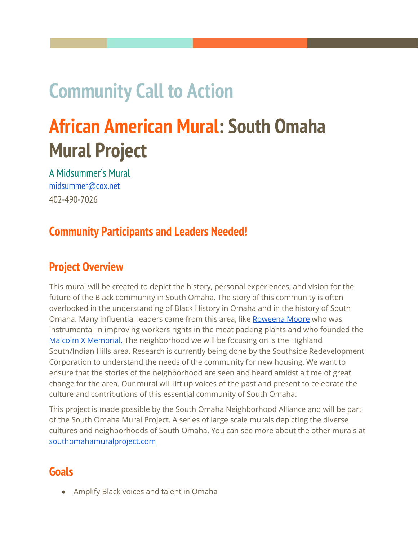neighbors participating at each event. We will have gloves and masks available to all participants.

Within a 3 hour window we will do the following

- Set up the mural van and play music to encourage people to come out and join the workshop. 15 min
- Give an introduction to the broad and focused context of the project. 15 min.
- The assistant artist will lead an exercise with a prompt that encourages people to think about content for the mural 45 min
- The lead artist will lead a discussion about mural design and content. 15 min
- The participants will then work to design and paint their own section of the mural. 1 hour 30 min.

With this model, each workshop will be a different experience with different media, artists, and discourse. Each event will also produce a different swatch of the mural, we will only use a small range of colors at each event. At the end of all the workshops, we will have swatches of different hues to pull from to create the larger mural design. The lead designer will use these swatches as parts of a collage to create the final design. Before the pieces are cut up to create the large mural, we will find a way to showcase them as individual pieces. Whether they be displayed outdoors in public, projected on a wall, hung in an art gallery, or simply as a portfolio online, we will make sure to highlight the work on its own before it becomes integrated into the larger work.

To design the final imagery, the lead artist will gather all of the context and ideas discussed at the workshops. They will create a design that speaks to their personal artistic sensibilities as well as the stories and dreams of the community. Public comment will be welcomed on the design through online formats and in person visits to the neighborhoods.

Once the design is approved, the mural team will cut the swatches to match the design and apply the final design onto a wall using Gel Medium to create a permanent installation. All of the elements of the mural will have been painted by the community and the final composition will be informed by all of the conversation and input. It will be an inclusive and unique way of accomplishing a community built mural project.

## **The TELAporter**

"Tela" meaning "canvas" in Italian and "cloth" in Spanish, the *TELA*porter will bring our studio out to the streets. With a retractable easel and mixing table, the van will be able to unfold into a fully functional workshop in minutes.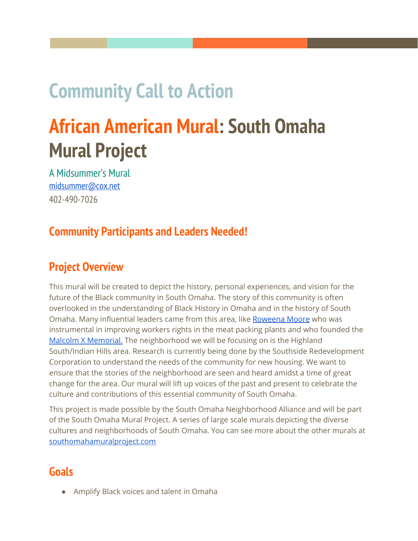



## **Phase 1 Timeline**

| Description           | Approx Date | Duration (hours) |
|-----------------------|-------------|------------------|
| <b>Artist Meeting</b> | 8/08/20     | 2 Online         |